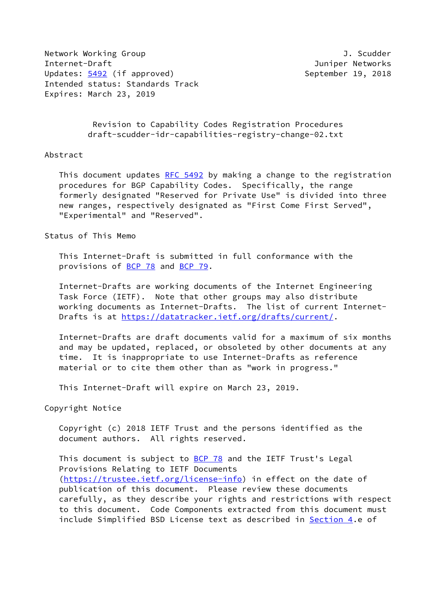Network Working Group **J. Scudder** Internet-Draft Juniper Networks Updates: [5492](https://datatracker.ietf.org/doc/pdf/rfc5492) (if approved) September 19, 2018 Intended status: Standards Track Expires: March 23, 2019

 Revision to Capability Codes Registration Procedures draft-scudder-idr-capabilities-registry-change-02.txt

## Abstract

This document updates [RFC 5492](https://datatracker.ietf.org/doc/pdf/rfc5492) by making a change to the registration procedures for BGP Capability Codes. Specifically, the range formerly designated "Reserved for Private Use" is divided into three new ranges, respectively designated as "First Come First Served", "Experimental" and "Reserved".

Status of This Memo

 This Internet-Draft is submitted in full conformance with the provisions of [BCP 78](https://datatracker.ietf.org/doc/pdf/bcp78) and [BCP 79](https://datatracker.ietf.org/doc/pdf/bcp79).

 Internet-Drafts are working documents of the Internet Engineering Task Force (IETF). Note that other groups may also distribute working documents as Internet-Drafts. The list of current Internet- Drafts is at<https://datatracker.ietf.org/drafts/current/>.

 Internet-Drafts are draft documents valid for a maximum of six months and may be updated, replaced, or obsoleted by other documents at any time. It is inappropriate to use Internet-Drafts as reference material or to cite them other than as "work in progress."

This Internet-Draft will expire on March 23, 2019.

Copyright Notice

 Copyright (c) 2018 IETF Trust and the persons identified as the document authors. All rights reserved.

This document is subject to **[BCP 78](https://datatracker.ietf.org/doc/pdf/bcp78)** and the IETF Trust's Legal Provisions Relating to IETF Documents [\(https://trustee.ietf.org/license-info](https://trustee.ietf.org/license-info)) in effect on the date of publication of this document. Please review these documents carefully, as they describe your rights and restrictions with respect to this document. Code Components extracted from this document must include Simplified BSD License text as described in [Section 4.](#page-2-0)e of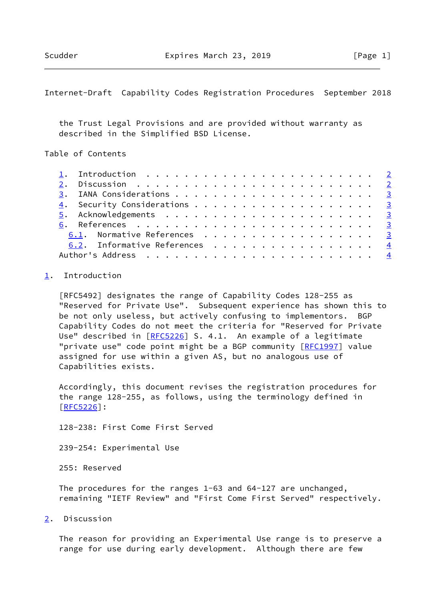<span id="page-1-1"></span>Internet-Draft Capability Codes Registration Procedures September 2018

 the Trust Legal Provisions and are provided without warranty as described in the Simplified BSD License.

Table of Contents

|  | 1. Introduction $\ldots \ldots \ldots \ldots \ldots \ldots \ldots \ldots \ldots$ |  |
|--|----------------------------------------------------------------------------------|--|
|  |                                                                                  |  |
|  |                                                                                  |  |
|  |                                                                                  |  |
|  |                                                                                  |  |
|  |                                                                                  |  |
|  | 6.1. Normative References 3                                                      |  |
|  | 6.2. Informative References 4                                                    |  |
|  |                                                                                  |  |

## <span id="page-1-0"></span>[1](#page-1-0). Introduction

 [RFC5492] designates the range of Capability Codes 128-255 as "Reserved for Private Use". Subsequent experience has shown this to be not only useless, but actively confusing to implementors. BGP Capability Codes do not meet the criteria for "Reserved for Private Use" described in [[RFC5226](https://datatracker.ietf.org/doc/pdf/rfc5226)] S. 4.1. An example of a legitimate "private use" code point might be a BGP community [[RFC1997](https://datatracker.ietf.org/doc/pdf/rfc1997)] value assigned for use within a given AS, but no analogous use of Capabilities exists.

 Accordingly, this document revises the registration procedures for the range 128-255, as follows, using the terminology defined in [\[RFC5226](https://datatracker.ietf.org/doc/pdf/rfc5226)]:

128-238: First Come First Served

239-254: Experimental Use

255: Reserved

 The procedures for the ranges 1-63 and 64-127 are unchanged, remaining "IETF Review" and "First Come First Served" respectively.

<span id="page-1-2"></span>[2](#page-1-2). Discussion

 The reason for providing an Experimental Use range is to preserve a range for use during early development. Although there are few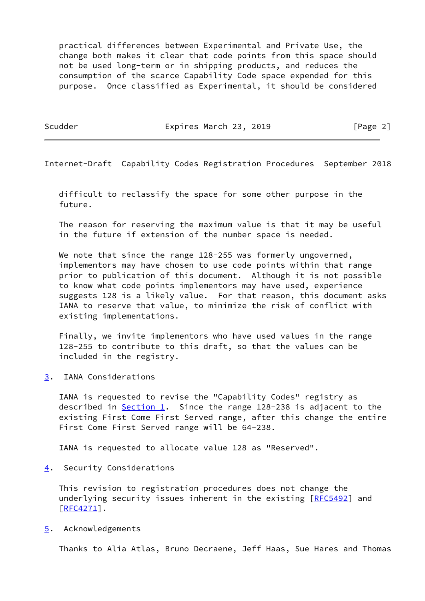practical differences between Experimental and Private Use, the change both makes it clear that code points from this space should not be used long-term or in shipping products, and reduces the consumption of the scarce Capability Code space expended for this purpose. Once classified as Experimental, it should be considered

Scudder **Expires March 23, 2019** [Page 2]

<span id="page-2-2"></span>Internet-Draft Capability Codes Registration Procedures September 2018

 difficult to reclassify the space for some other purpose in the future.

 The reason for reserving the maximum value is that it may be useful in the future if extension of the number space is needed.

We note that since the range 128-255 was formerly ungoverned, implementors may have chosen to use code points within that range prior to publication of this document. Although it is not possible to know what code points implementors may have used, experience suggests 128 is a likely value. For that reason, this document asks IANA to reserve that value, to minimize the risk of conflict with existing implementations.

 Finally, we invite implementors who have used values in the range 128-255 to contribute to this draft, so that the values can be included in the registry.

<span id="page-2-1"></span>[3](#page-2-1). IANA Considerations

 IANA is requested to revise the "Capability Codes" registry as described in [Section 1](#page-1-0). Since the range 128-238 is adjacent to the existing First Come First Served range, after this change the entire First Come First Served range will be 64-238.

IANA is requested to allocate value 128 as "Reserved".

<span id="page-2-0"></span>[4](#page-2-0). Security Considerations

 This revision to registration procedures does not change the underlying security issues inherent in the existing [\[RFC5492](https://datatracker.ietf.org/doc/pdf/rfc5492)] and  $[RFC4271]$  $[RFC4271]$ .

<span id="page-2-3"></span>[5](#page-2-3). Acknowledgements

Thanks to Alia Atlas, Bruno Decraene, Jeff Haas, Sue Hares and Thomas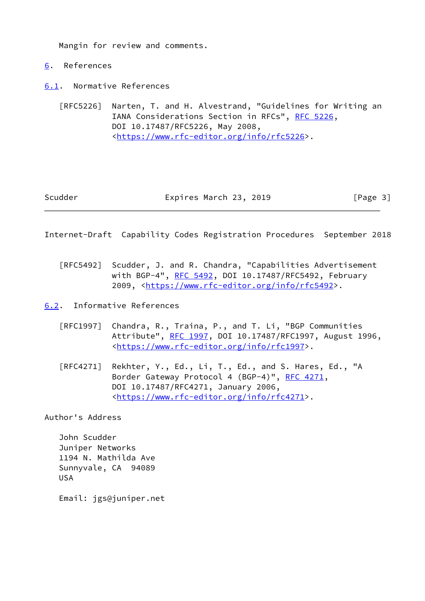Mangin for review and comments.

- <span id="page-3-0"></span>[6](#page-3-0). References
- <span id="page-3-1"></span>[6.1](#page-3-1). Normative References

 [RFC5226] Narten, T. and H. Alvestrand, "Guidelines for Writing an IANA Considerations Section in RFCs", [RFC 5226](https://datatracker.ietf.org/doc/pdf/rfc5226), DOI 10.17487/RFC5226, May 2008, <[https://www.rfc-editor.org/info/rfc5226>](https://www.rfc-editor.org/info/rfc5226).

## Scudder **Expires March 23, 2019** [Page 3]

<span id="page-3-3"></span>Internet-Draft Capability Codes Registration Procedures September 2018

- [RFC5492] Scudder, J. and R. Chandra, "Capabilities Advertisement with BGP-4", [RFC 5492](https://datatracker.ietf.org/doc/pdf/rfc5492), DOI 10.17487/RFC5492, February 2009, [<https://www.rfc-editor.org/info/rfc5492](https://www.rfc-editor.org/info/rfc5492)>.
- <span id="page-3-2"></span>[6.2](#page-3-2). Informative References
	- [RFC1997] Chandra, R., Traina, P., and T. Li, "BGP Communities Attribute", [RFC 1997,](https://datatracker.ietf.org/doc/pdf/rfc1997) DOI 10.17487/RFC1997, August 1996, <[https://www.rfc-editor.org/info/rfc1997>](https://www.rfc-editor.org/info/rfc1997).
	- [RFC4271] Rekhter, Y., Ed., Li, T., Ed., and S. Hares, Ed., "A Border Gateway Protocol 4 (BGP-4)", [RFC 4271,](https://datatracker.ietf.org/doc/pdf/rfc4271) DOI 10.17487/RFC4271, January 2006, <[https://www.rfc-editor.org/info/rfc4271>](https://www.rfc-editor.org/info/rfc4271).

Author's Address

 John Scudder Juniper Networks 1194 N. Mathilda Ave Sunnyvale, CA 94089 USA

Email: jgs@juniper.net